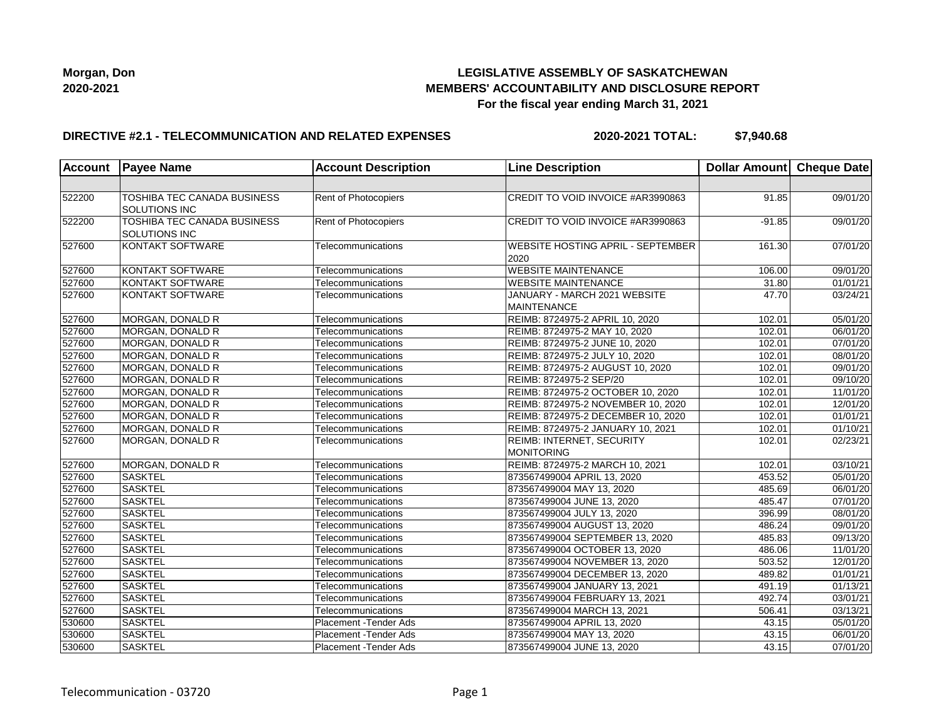

### **DIRECTIVE #2.1 - TELECOMMUNICATION AND RELATED EXPENSES**

**2020-2021 TOTAL: \$7,940.68**

| <b>Account</b> | <b>Payee Name</b>                                   | <b>Account Description</b> | <b>Line Description</b>                            | Dollar Amount Cheque Date |          |
|----------------|-----------------------------------------------------|----------------------------|----------------------------------------------------|---------------------------|----------|
|                |                                                     |                            |                                                    |                           |          |
| 522200         | TOSHIBA TEC CANADA BUSINESS<br>SOLUTIONS INC        | Rent of Photocopiers       | CREDIT TO VOID INVOICE #AR3990863                  | 91.85                     | 09/01/20 |
| 522200         | <b>TOSHIBA TEC CANADA BUSINESS</b><br>SOLUTIONS INC | Rent of Photocopiers       | CREDIT TO VOID INVOICE #AR3990863                  | $-91.85$                  | 09/01/20 |
| 527600         | KONTAKT SOFTWARE                                    | Telecommunications         | <b>WEBSITE HOSTING APRIL - SEPTEMBER</b><br>2020   | 161.30                    | 07/01/20 |
| 527600         | KONTAKT SOFTWARE                                    | Telecommunications         | <b>WEBSITE MAINTENANCE</b>                         | 106.00                    | 09/01/20 |
| 527600         | KONTAKT SOFTWARE                                    | Telecommunications         | <b>WEBSITE MAINTENANCE</b>                         | 31.80                     | 01/01/21 |
| 527600         | KONTAKT SOFTWARE                                    | Telecommunications         | JANUARY - MARCH 2021 WEBSITE<br><b>MAINTENANCE</b> | 47.70                     | 03/24/21 |
| 527600         | MORGAN, DONALD R                                    | Telecommunications         | REIMB: 8724975-2 APRIL 10, 2020                    | 102.01                    | 05/01/20 |
| 527600         | MORGAN, DONALD R                                    | Telecommunications         | REIMB: 8724975-2 MAY 10, 2020                      | 102.01                    | 06/01/20 |
| 527600         | MORGAN, DONALD R                                    | Telecommunications         | REIMB: 8724975-2 JUNE 10, 2020                     | 102.01                    | 07/01/20 |
| 527600         | MORGAN, DONALD R                                    | Telecommunications         | REIMB: 8724975-2 JULY 10, 2020                     | 102.01                    | 08/01/20 |
| 527600         | MORGAN, DONALD R                                    | Telecommunications         | REIMB: 8724975-2 AUGUST 10, 2020                   | 102.01                    | 09/01/20 |
| 527600         | MORGAN, DONALD R                                    | Telecommunications         | REIMB: 8724975-2 SEP/20                            | 102.01                    | 09/10/20 |
| 527600         | MORGAN, DONALD R                                    | Telecommunications         | REIMB: 8724975-2 OCTOBER 10, 2020                  | 102.01                    | 11/01/20 |
| 527600         | MORGAN, DONALD R                                    | Telecommunications         | REIMB: 8724975-2 NOVEMBER 10, 2020                 | 102.01                    | 12/01/20 |
| 527600         | MORGAN, DONALD R                                    | Telecommunications         | REIMB: 8724975-2 DECEMBER 10, 2020                 | 102.01                    | 01/01/21 |
| 527600         | MORGAN, DONALD R                                    | Telecommunications         | REIMB: 8724975-2 JANUARY 10, 2021                  | 102.01                    | 01/10/21 |
| 527600         | MORGAN, DONALD R                                    | Telecommunications         | REIMB: INTERNET, SECURITY<br>MONITORING            | 102.01                    | 02/23/21 |
| 527600         | <b>MORGAN, DONALD R</b>                             | Telecommunications         | REIMB: 8724975-2 MARCH 10, 2021                    | 102.01                    | 03/10/21 |
| 527600         | <b>SASKTEL</b>                                      | Telecommunications         | 873567499004 APRIL 13, 2020                        | 453.52                    | 05/01/20 |
| 527600         | <b>SASKTEL</b>                                      | Telecommunications         | 873567499004 MAY 13, 2020                          | 485.69                    | 06/01/20 |
| 527600         | <b>SASKTEL</b>                                      | Telecommunications         | 873567499004 JUNE 13, 2020                         | 485.47                    | 07/01/20 |
| 527600         | <b>SASKTEL</b>                                      | Telecommunications         | 873567499004 JULY 13, 2020                         | 396.99                    | 08/01/20 |
| 527600         | <b>SASKTEL</b>                                      | Telecommunications         | 873567499004 AUGUST 13, 2020                       | 486.24                    | 09/01/20 |
| 527600         | <b>SASKTEL</b>                                      | Telecommunications         | 873567499004 SEPTEMBER 13, 2020                    | 485.83                    | 09/13/20 |
| 527600         | <b>SASKTEL</b>                                      | Telecommunications         | 873567499004 OCTOBER 13, 2020                      | 486.06                    | 11/01/20 |
| 527600         | <b>SASKTEL</b>                                      | Telecommunications         | 873567499004 NOVEMBER 13, 2020                     | 503.52                    | 12/01/20 |
| 527600         | <b>SASKTEL</b>                                      | Telecommunications         | 873567499004 DECEMBER 13, 2020                     | 489.82                    | 01/01/21 |
| 527600         | <b>SASKTEL</b>                                      | Telecommunications         | 873567499004 JANUARY 13, 2021                      | 491.19                    | 01/13/21 |
| 527600         | <b>SASKTEL</b>                                      | Telecommunications         | 873567499004 FEBRUARY 13, 2021                     | 492.74                    | 03/01/21 |
| 527600         | <b>SASKTEL</b>                                      | Telecommunications         | 873567499004 MARCH 13, 2021                        | 506.41                    | 03/13/21 |
| 530600         | SASKTEL                                             | Placement - Tender Ads     | 873567499004 APRIL 13, 2020                        | 43.15                     | 05/01/20 |
| 530600         | <b>SASKTEL</b>                                      | Placement - Tender Ads     | 873567499004 MAY 13, 2020                          | 43.15                     | 06/01/20 |
| 530600         | <b>SASKTEL</b>                                      | Placement - Tender Ads     | 873567499004 JUNE 13, 2020                         | 43.15                     | 07/01/20 |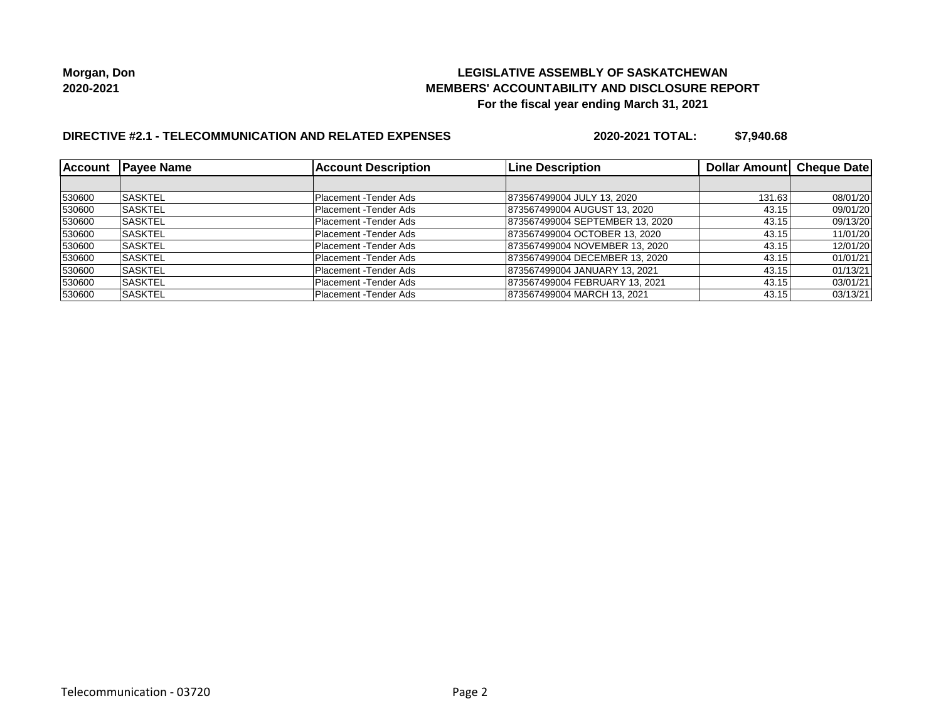### **LEGISLATIVE ASSEMBLY OF SASKATCHEWAN MEMBERS' ACCOUNTABILITY AND DISCLOSURE REPORT For the fiscal year ending March 31, 2021**

# **DIRECTIVE #2.1 - TELECOMMUNICATION AND RELATED EXPENSES**

**2020-2021 TOTAL: \$7,940.68**

| <b>Account</b> | <b>Payee Name</b> | <b>Account Description</b> | <b>Line Description</b>         | Dollar Amount Cheque Date |          |
|----------------|-------------------|----------------------------|---------------------------------|---------------------------|----------|
|                |                   |                            |                                 |                           |          |
| 530600         | <b>SASKTEL</b>    | Placement - Tender Ads     | 873567499004 JULY 13, 2020      | 131.63                    | 08/01/20 |
| 530600         | ISASKTEL          | Placement - Tender Ads     | 873567499004 AUGUST 13, 2020    | 43.15                     | 09/01/20 |
| 530600         | <b>SASKTEL</b>    | Placement - Tender Ads     | 873567499004 SEPTEMBER 13, 2020 | 43.15                     | 09/13/20 |
| 530600         | ISASKTEL          | Placement - Tender Ads     | 873567499004 OCTOBER 13, 2020   | 43.15                     | 11/01/20 |
| 530600         | <b>SASKTEL</b>    | Placement - Tender Ads     | 873567499004 NOVEMBER 13, 2020  | 43.15                     | 12/01/20 |
| 530600         | <b>SASKTEL</b>    | Placement - Tender Ads     | 873567499004 DECEMBER 13, 2020  | 43.15                     | 01/01/21 |
| 530600         | ISASKTEL          | Placement - Tender Ads     | 873567499004 JANUARY 13, 2021   | 43.15                     | 01/13/21 |
| 530600         | <b>SASKTEL</b>    | Placement - Tender Ads     | 873567499004 FEBRUARY 13, 2021  | 43.15                     | 03/01/21 |
| 530600         | ISASKTEL          | Placement - Tender Ads     | 873567499004 MARCH 13, 2021     | 43.15                     | 03/13/21 |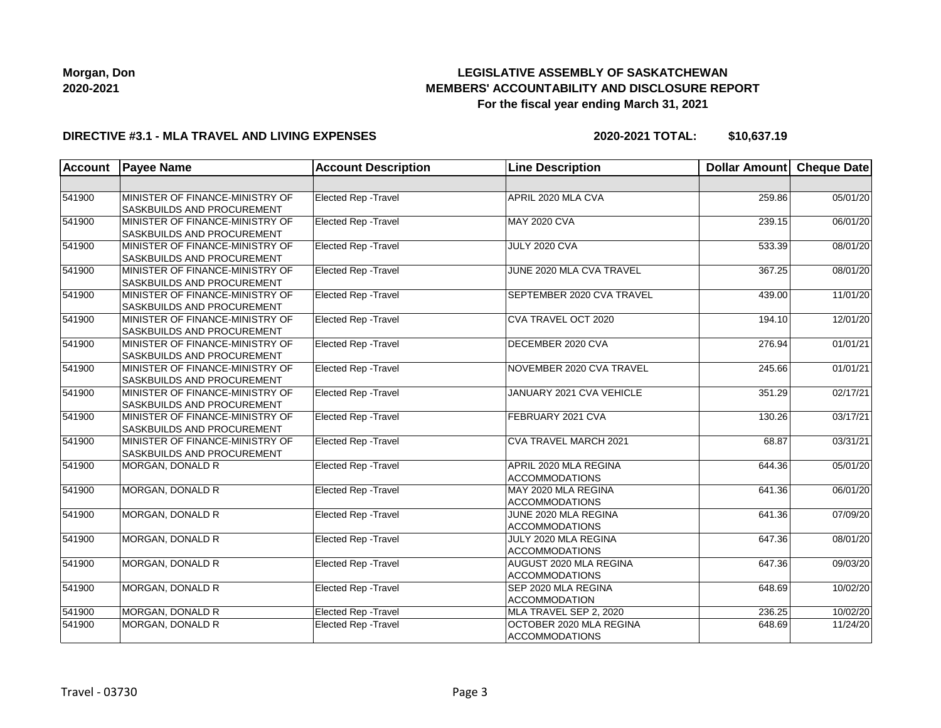

#### **DIRECTIVE #3.1 - MLA TRAVEL AND LIVING EXPENSES**

**2020-2021 TOTAL: \$10,637.19**

| <b>Account</b> | <b>Payee Name</b>                                                    | <b>Account Description</b>  | <b>Line Description</b>                          | <b>Dollar Amount</b> | Cheque Date |
|----------------|----------------------------------------------------------------------|-----------------------------|--------------------------------------------------|----------------------|-------------|
|                |                                                                      |                             |                                                  |                      |             |
| 541900         | MINISTER OF FINANCE-MINISTRY OF<br>SASKBUILDS AND PROCUREMENT        | Elected Rep - Travel        | APRIL 2020 MLA CVA                               | 259.86               | 05/01/20    |
| 541900         | MINISTER OF FINANCE-MINISTRY OF<br>SASKBUILDS AND PROCUREMENT        | Elected Rep - Travel        | <b>MAY 2020 CVA</b>                              | 239.15               | 06/01/20    |
| 541900         | MINISTER OF FINANCE-MINISTRY OF<br>SASKBUILDS AND PROCUREMENT        | <b>Elected Rep - Travel</b> | <b>JULY 2020 CVA</b>                             | 533.39               | 08/01/20    |
| 541900         | MINISTER OF FINANCE-MINISTRY OF<br><b>SASKBUILDS AND PROCUREMENT</b> | Elected Rep - Travel        | JUNE 2020 MLA CVA TRAVEL                         | 367.25               | 08/01/20    |
| 541900         | MINISTER OF FINANCE-MINISTRY OF<br>SASKBUILDS AND PROCUREMENT        | Elected Rep - Travel        | SEPTEMBER 2020 CVA TRAVEL                        | 439.00               | 11/01/20    |
| 541900         | MINISTER OF FINANCE-MINISTRY OF<br>SASKBUILDS AND PROCUREMENT        | <b>Elected Rep - Travel</b> | CVA TRAVEL OCT 2020                              | 194.10               | 12/01/20    |
| 541900         | MINISTER OF FINANCE-MINISTRY OF<br>SASKBUILDS AND PROCUREMENT        | <b>Elected Rep - Travel</b> | DECEMBER 2020 CVA                                | 276.94               | 01/01/21    |
| 541900         | MINISTER OF FINANCE-MINISTRY OF<br>SASKBUILDS AND PROCUREMENT        | Elected Rep - Travel        | NOVEMBER 2020 CVA TRAVEL                         | 245.66               | 01/01/21    |
| 541900         | MINISTER OF FINANCE-MINISTRY OF<br>SASKBUILDS AND PROCUREMENT        | Elected Rep - Travel        | JANUARY 2021 CVA VEHICLE                         | 351.29               | 02/17/21    |
| 541900         | MINISTER OF FINANCE-MINISTRY OF<br>SASKBUILDS AND PROCUREMENT        | <b>Elected Rep - Travel</b> | FEBRUARY 2021 CVA                                | 130.26               | 03/17/21    |
| 541900         | MINISTER OF FINANCE-MINISTRY OF<br>SASKBUILDS AND PROCUREMENT        | <b>Elected Rep - Travel</b> | CVA TRAVEL MARCH 2021                            | 68.87                | 03/31/21    |
| 541900         | MORGAN, DONALD R                                                     | Elected Rep - Travel        | APRIL 2020 MLA REGINA<br><b>ACCOMMODATIONS</b>   | 644.36               | 05/01/20    |
| 541900         | MORGAN, DONALD R                                                     | <b>Elected Rep - Travel</b> | MAY 2020 MLA REGINA<br><b>ACCOMMODATIONS</b>     | 641.36               | 06/01/20    |
| 541900         | <b>MORGAN, DONALD R</b>                                              | <b>Elected Rep - Travel</b> | JUNE 2020 MLA REGINA<br><b>ACCOMMODATIONS</b>    | 641.36               | 07/09/20    |
| 541900         | MORGAN, DONALD R                                                     | Elected Rep - Travel        | JULY 2020 MLA REGINA<br><b>ACCOMMODATIONS</b>    | 647.36               | 08/01/20    |
| 541900         | MORGAN, DONALD R                                                     | Elected Rep - Travel        | AUGUST 2020 MLA REGINA<br><b>ACCOMMODATIONS</b>  | 647.36               | 09/03/20    |
| 541900         | MORGAN, DONALD R                                                     | <b>Elected Rep - Travel</b> | SEP 2020 MLA REGINA<br><b>ACCOMMODATION</b>      | 648.69               | 10/02/20    |
| 541900         | MORGAN, DONALD R                                                     | <b>Elected Rep - Travel</b> | MLA TRAVEL SEP 2, 2020                           | 236.25               | 10/02/20    |
| 541900         | MORGAN, DONALD R                                                     | Elected Rep - Travel        | OCTOBER 2020 MLA REGINA<br><b>ACCOMMODATIONS</b> | 648.69               | 11/24/20    |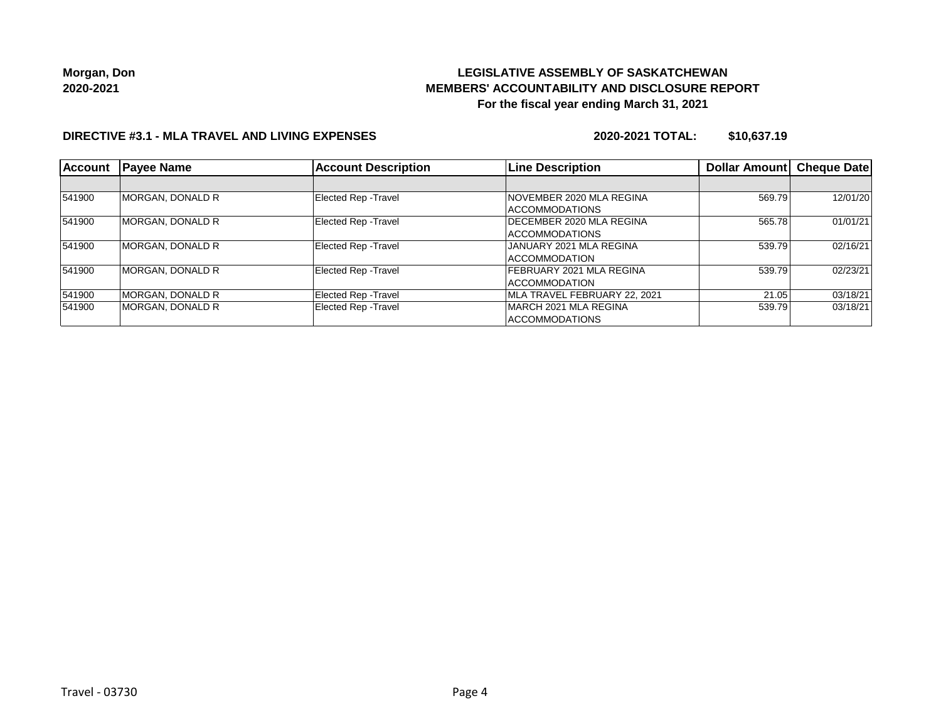## **LEGISLATIVE ASSEMBLY OF SASKATCHEWAN MEMBERS' ACCOUNTABILITY AND DISCLOSURE REPORT For the fiscal year ending March 31, 2021**

### **DIRECTIVE #3.1 - MLA TRAVEL AND LIVING EXPENSES**

**2020-2021 TOTAL: \$10,637.19**

| <b>Account</b> | <b>Payee Name</b>        | <b>Account Description</b>  | <b>Line Description</b>         | Dollar Amount | <b>Cheque Date</b> |
|----------------|--------------------------|-----------------------------|---------------------------------|---------------|--------------------|
|                |                          |                             |                                 |               |                    |
| 541900         | MORGAN, DONALD R         | Elected Rep - Travel        | <b>NOVEMBER 2020 MLA REGINA</b> | 569.79        | 12/01/20           |
|                |                          |                             | <b>ACCOMMODATIONS</b>           |               |                    |
| 541900         | MORGAN, DONALD R         | <b>Elected Rep - Travel</b> | DECEMBER 2020 MLA REGINA        | 565.78        | 01/01/21           |
|                |                          |                             | <b>ACCOMMODATIONS</b>           |               |                    |
| 541900         | MORGAN, DONALD R         | <b>Elected Rep - Travel</b> | JANUARY 2021 MLA REGINA         | 539.79        | 02/16/21           |
|                |                          |                             | <b>ACCOMMODATION</b>            |               |                    |
| 541900         | <b>IMORGAN, DONALD R</b> | <b>Elected Rep - Travel</b> | FEBRUARY 2021 MLA REGINA        | 539.79        | 02/23/21           |
|                |                          |                             | <b>ACCOMMODATION</b>            |               |                    |
| 541900         | MORGAN, DONALD R         | <b>Elected Rep - Travel</b> | MLA TRAVEL FEBRUARY 22, 2021    | 21.05         | 03/18/21           |
| 541900         | MORGAN, DONALD R         | Elected Rep - Travel        | <b>IMARCH 2021 MLA REGINA</b>   | 539.79        | 03/18/21           |
|                |                          |                             | <b>ACCOMMODATIONS</b>           |               |                    |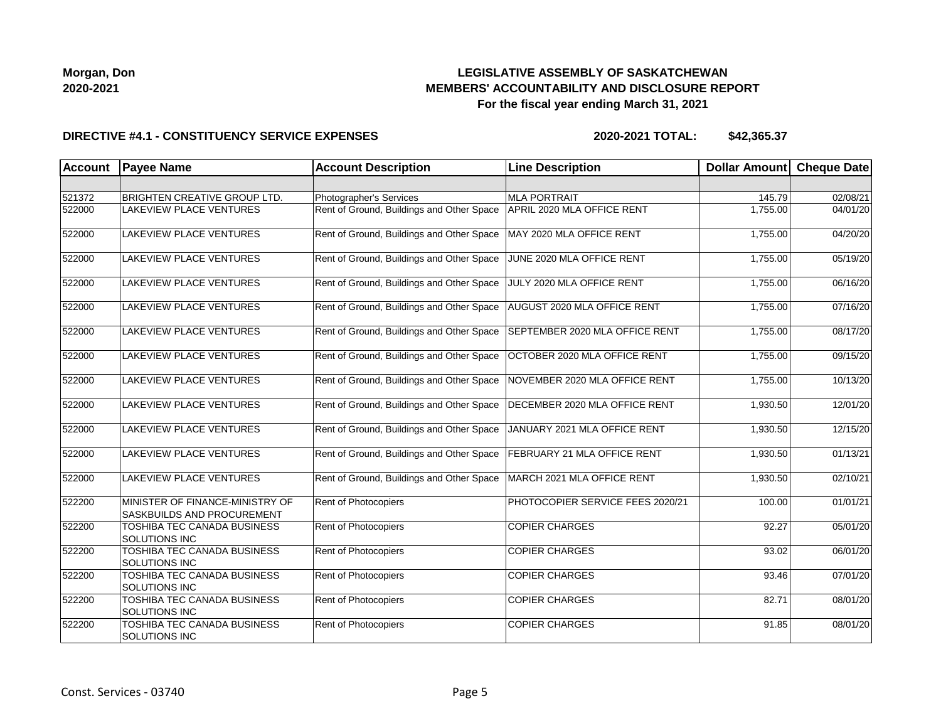

#### **DIRECTIVE #4.1 - CONSTITUENCY SERVICE EXPENSES**

| Account | <b>Payee Name</b>                                             | <b>Account Description</b>                | <b>Line Description</b>            | <b>Dollar Amount</b> | <b>Cheque Date</b> |
|---------|---------------------------------------------------------------|-------------------------------------------|------------------------------------|----------------------|--------------------|
|         |                                                               |                                           |                                    |                      |                    |
| 521372  | <b>BRIGHTEN CREATIVE GROUP LTD.</b>                           | Photographer's Services                   | <b>MLA PORTRAIT</b>                | 145.79               | 02/08/21           |
| 522000  | <b>LAKEVIEW PLACE VENTURES</b>                                | Rent of Ground, Buildings and Other Space | APRIL 2020 MLA OFFICE RENT         | 1,755.00             | 04/01/20           |
| 522000  | <b>LAKEVIEW PLACE VENTURES</b>                                | Rent of Ground, Buildings and Other Space | MAY 2020 MLA OFFICE RENT           | 1,755.00             | 04/20/20           |
| 522000  | <b>LAKEVIEW PLACE VENTURES</b>                                | Rent of Ground, Buildings and Other Space | JUNE 2020 MLA OFFICE RENT          | 1,755.00             | 05/19/20           |
| 522000  | LAKEVIEW PLACE VENTURES                                       | Rent of Ground, Buildings and Other Space | JULY 2020 MLA OFFICE RENT          | 1,755.00             | 06/16/20           |
| 522000  | <b>LAKEVIEW PLACE VENTURES</b>                                | Rent of Ground, Buildings and Other Space | <b>AUGUST 2020 MLA OFFICE RENT</b> | 1,755.00             | 07/16/20           |
| 522000  | <b>LAKEVIEW PLACE VENTURES</b>                                | Rent of Ground, Buildings and Other Space | SEPTEMBER 2020 MLA OFFICE RENT     | 1,755.00             | 08/17/20           |
| 522000  | <b>LAKEVIEW PLACE VENTURES</b>                                | Rent of Ground, Buildings and Other Space | OCTOBER 2020 MLA OFFICE RENT       | 1,755.00             | 09/15/20           |
| 522000  | <b>LAKEVIEW PLACE VENTURES</b>                                | Rent of Ground, Buildings and Other Space | NOVEMBER 2020 MLA OFFICE RENT      | 1,755.00             | 10/13/20           |
| 522000  | <b>LAKEVIEW PLACE VENTURES</b>                                | Rent of Ground, Buildings and Other Space | DECEMBER 2020 MLA OFFICE RENT      | 1,930.50             | 12/01/20           |
| 522000  | <b>LAKEVIEW PLACE VENTURES</b>                                | Rent of Ground, Buildings and Other Space | JANUARY 2021 MLA OFFICE RENT       | 1,930.50             | 12/15/20           |
| 522000  | <b>LAKEVIEW PLACE VENTURES</b>                                | Rent of Ground, Buildings and Other Space | <b>FEBRUARY 21 MLA OFFICE RENT</b> | 1.930.50             | 01/13/21           |
| 522000  | <b>LAKEVIEW PLACE VENTURES</b>                                | Rent of Ground, Buildings and Other Space | MARCH 2021 MLA OFFICE RENT         | 1,930.50             | 02/10/21           |
| 522200  | MINISTER OF FINANCE-MINISTRY OF<br>SASKBUILDS AND PROCUREMENT | Rent of Photocopiers                      | PHOTOCOPIER SERVICE FEES 2020/21   | 100.00               | 01/01/21           |
| 522200  | TOSHIBA TEC CANADA BUSINESS<br><b>SOLUTIONS INC</b>           | Rent of Photocopiers                      | <b>COPIER CHARGES</b>              | 92.27                | 05/01/20           |
| 522200  | TOSHIBA TEC CANADA BUSINESS<br><b>SOLUTIONS INC</b>           | Rent of Photocopiers                      | <b>COPIER CHARGES</b>              | 93.02                | 06/01/20           |
| 522200  | TOSHIBA TEC CANADA BUSINESS<br><b>SOLUTIONS INC</b>           | <b>Rent of Photocopiers</b>               | <b>COPIER CHARGES</b>              | 93.46                | 07/01/20           |
| 522200  | <b>TOSHIBA TEC CANADA BUSINESS</b><br>SOLUTIONS INC           | <b>Rent of Photocopiers</b>               | <b>COPIER CHARGES</b>              | 82.71                | 08/01/20           |
| 522200  | TOSHIBA TEC CANADA BUSINESS<br>SOLUTIONS INC                  | Rent of Photocopiers                      | <b>COPIER CHARGES</b>              | 91.85                | 08/01/20           |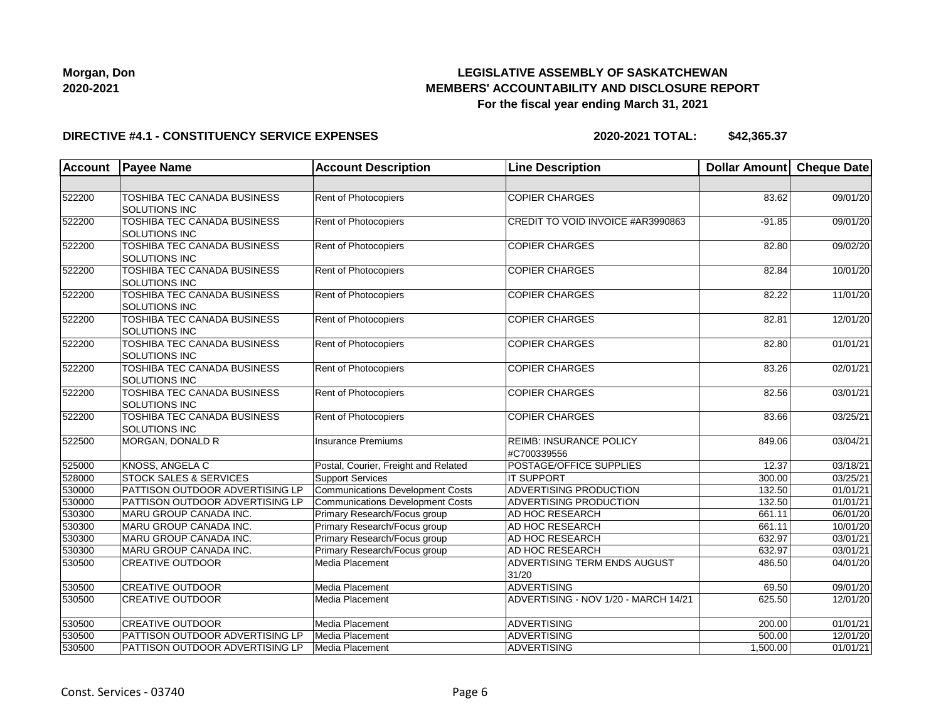

#### **DIRECTIVE #4.1 - CONSTITUENCY SERVICE EXPENSES**

| <b>Account</b> | <b>Payee Name</b>                                          | <b>Account Description</b>              | <b>Line Description</b>                       | <b>Dollar Amount</b> | <b>Cheque Date</b> |
|----------------|------------------------------------------------------------|-----------------------------------------|-----------------------------------------------|----------------------|--------------------|
|                |                                                            |                                         |                                               |                      |                    |
| 522200         | TOSHIBA TEC CANADA BUSINESS<br><b>SOLUTIONS INC</b>        | Rent of Photocopiers                    | <b>COPIER CHARGES</b>                         | 83.62                | 09/01/20           |
| 522200         | TOSHIBA TEC CANADA BUSINESS<br><b>SOLUTIONS INC</b>        | Rent of Photocopiers                    | CREDIT TO VOID INVOICE #AR3990863             | $-91.85$             | 09/01/20           |
| 522200         | <b>TOSHIBA TEC CANADA BUSINESS</b><br>SOLUTIONS INC        | Rent of Photocopiers                    | <b>COPIER CHARGES</b>                         | 82.80                | 09/02/20           |
| 522200         | TOSHIBA TEC CANADA BUSINESS<br>SOLUTIONS INC               | Rent of Photocopiers                    | <b>COPIER CHARGES</b>                         | 82.84                | 10/01/20           |
| 522200         | TOSHIBA TEC CANADA BUSINESS<br><b>SOLUTIONS INC</b>        | Rent of Photocopiers                    | <b>COPIER CHARGES</b>                         | 82.22                | 11/01/20           |
| 522200         | <b>TOSHIBA TEC CANADA BUSINESS</b><br>SOLUTIONS INC        | Rent of Photocopiers                    | <b>COPIER CHARGES</b>                         | 82.81                | 12/01/20           |
| 522200         | <b>TOSHIBA TEC CANADA BUSINESS</b><br>SOLUTIONS INC        | Rent of Photocopiers                    | <b>COPIER CHARGES</b>                         | 82.80                | 01/01/21           |
| 522200         | <b>TOSHIBA TEC CANADA BUSINESS</b><br><b>SOLUTIONS INC</b> | Rent of Photocopiers                    | <b>COPIER CHARGES</b>                         | 83.26                | 02/01/21           |
| 522200         | TOSHIBA TEC CANADA BUSINESS<br>SOLUTIONS INC               | Rent of Photocopiers                    | <b>COPIER CHARGES</b>                         | 82.56                | 03/01/21           |
| 522200         | <b>TOSHIBA TEC CANADA BUSINESS</b><br>SOLUTIONS INC        | Rent of Photocopiers                    | <b>COPIER CHARGES</b>                         | 83.66                | 03/25/21           |
| 522500         | MORGAN, DONALD R                                           | <b>Insurance Premiums</b>               | <b>REIMB: INSURANCE POLICY</b><br>#C700339556 | 849.06               | 03/04/21           |
| 525000         | KNOSS, ANGELA C                                            | Postal, Courier, Freight and Related    | POSTAGE/OFFICE SUPPLIES                       | 12.37                | 03/18/21           |
| 528000         | <b>STOCK SALES &amp; SERVICES</b>                          | <b>Support Services</b>                 | <b>IT SUPPORT</b>                             | 300.00               | 03/25/21           |
| 530000         | PATTISON OUTDOOR ADVERTISING LP                            | <b>Communications Development Costs</b> | ADVERTISING PRODUCTION                        | 132.50               | 01/01/21           |
| 530000         | PATTISON OUTDOOR ADVERTISING LP                            | <b>Communications Development Costs</b> | ADVERTISING PRODUCTION                        | 132.50               | 01/01/21           |
| 530300         | MARU GROUP CANADA INC.                                     | Primary Research/Focus group            | AD HOC RESEARCH                               | 661.11               | 06/01/20           |
| 530300         | MARU GROUP CANADA INC.                                     | Primary Research/Focus group            | AD HOC RESEARCH                               | 661.11               | 10/01/20           |
| 530300         | MARU GROUP CANADA INC.                                     | Primary Research/Focus group            | AD HOC RESEARCH                               | 632.97               | 03/01/21           |
| 530300         | MARU GROUP CANADA INC.                                     | Primary Research/Focus group            | AD HOC RESEARCH                               | 632.97               | 03/01/21           |
| 530500         | <b>CREATIVE OUTDOOR</b>                                    | Media Placement                         | ADVERTISING TERM ENDS AUGUST<br>31/20         | 486.50               | 04/01/20           |
| 530500         | <b>CREATIVE OUTDOOR</b>                                    | Media Placement                         | <b>ADVERTISING</b>                            | 69.50                | 09/01/20           |
| 530500         | <b>CREATIVE OUTDOOR</b>                                    | Media Placement                         | ADVERTISING - NOV 1/20 - MARCH 14/21          | 625.50               | 12/01/20           |
| 530500         | <b>CREATIVE OUTDOOR</b>                                    | Media Placement                         | ADVERTISING                                   | 200.00               | 01/01/21           |
| 530500         | PATTISON OUTDOOR ADVERTISING LP                            | Media Placement                         | ADVERTISING                                   | 500.00               | 12/01/20           |
| 530500         | PATTISON OUTDOOR ADVERTISING LP                            | Media Placement                         | ADVERTISING                                   | 1,500.00             | 01/01/21           |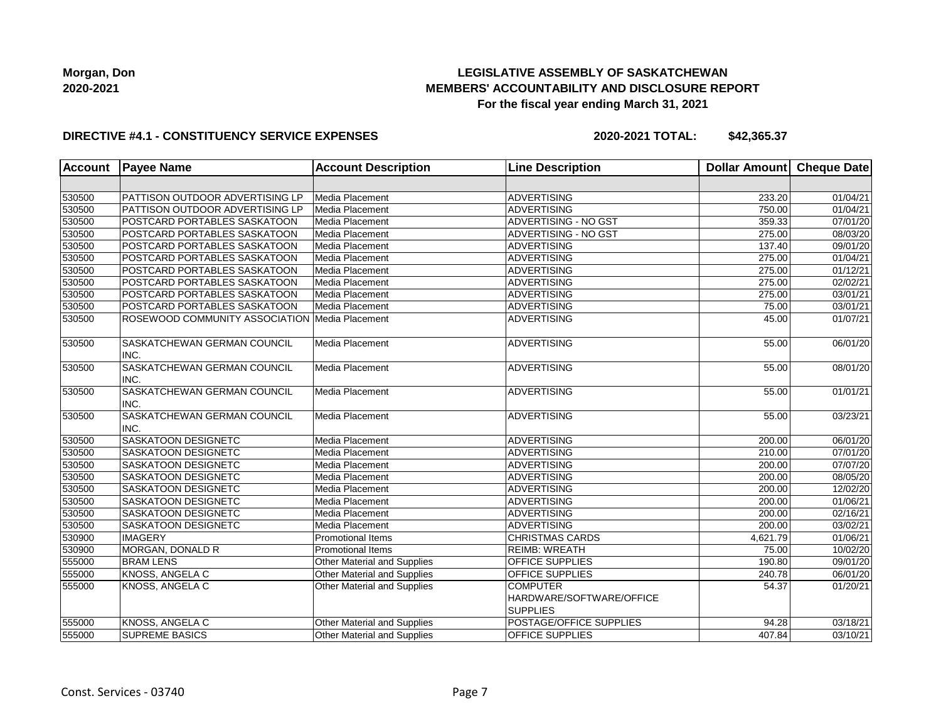## **LEGISLATIVE ASSEMBLY OF SASKATCHEWAN MEMBERS' ACCOUNTABILITY AND DISCLOSURE REPORT For the fiscal year ending March 31, 2021**

#### **DIRECTIVE #4.1 - CONSTITUENCY SERVICE EXPENSES**

| <b>Account</b> | <b>Payee Name</b>                                | <b>Account Description</b>         | <b>Line Description</b>                                        | <b>Dollar Amount</b> | Cheque Date |
|----------------|--------------------------------------------------|------------------------------------|----------------------------------------------------------------|----------------------|-------------|
|                |                                                  |                                    |                                                                |                      |             |
| 530500         | PATTISON OUTDOOR ADVERTISING LP                  | Media Placement                    | <b>ADVERTISING</b>                                             | 233.20               | 01/04/21    |
| 530500         | PATTISON OUTDOOR ADVERTISING LP                  | Media Placement                    | <b>ADVERTISING</b>                                             | 750.00               | 01/04/21    |
| 530500         | POSTCARD PORTABLES SASKATOON                     | Media Placement                    | ADVERTISING - NO GST                                           | 359.33               | 07/01/20    |
| 530500         | POSTCARD PORTABLES SASKATOON                     | Media Placement                    | ADVERTISING - NO GST                                           | 275.00               | 08/03/20    |
| 530500         | POSTCARD PORTABLES SASKATOON                     | Media Placement                    | ADVERTISING                                                    | 137.40               | 09/01/20    |
| 530500         | POSTCARD PORTABLES SASKATOON                     | Media Placement                    | ADVERTISING                                                    | 275.00               | 01/04/21    |
| 530500         | POSTCARD PORTABLES SASKATOON                     | Media Placement                    | ADVERTISING                                                    | 275.00               | 01/12/21    |
| 530500         | POSTCARD PORTABLES SASKATOON                     | Media Placement                    | <b>ADVERTISING</b>                                             | 275.00               | 02/02/21    |
| 530500         | POSTCARD PORTABLES SASKATOON                     | Media Placement                    | <b>ADVERTISING</b>                                             | 275.00               | 03/01/21    |
| 530500         | POSTCARD PORTABLES SASKATOON                     | Media Placement                    | <b>ADVERTISING</b>                                             | 75.00                | 03/01/21    |
| 530500         | ROSEWOOD COMMUNITY ASSOCIATION   Media Placement |                                    | <b>ADVERTISING</b>                                             | 45.00                | 01/07/21    |
| 530500         | SASKATCHEWAN GERMAN COUNCIL<br>INC.              | Media Placement                    | <b>ADVERTISING</b>                                             | 55.00                | 06/01/20    |
| 530500         | SASKATCHEWAN GERMAN COUNCIL<br>INC.              | Media Placement                    | <b>ADVERTISING</b>                                             | 55.00                | 08/01/20    |
| 530500         | SASKATCHEWAN GERMAN COUNCIL<br>INC.              | Media Placement                    | <b>ADVERTISING</b>                                             | 55.00                | 01/01/21    |
| 530500         | SASKATCHEWAN GERMAN COUNCIL<br>INC.              | Media Placement                    | <b>ADVERTISING</b>                                             | 55.00                | 03/23/21    |
| 530500         | SASKATOON DESIGNETC                              | <b>Media Placement</b>             | ADVERTISING                                                    | 200.00               | 06/01/20    |
| 530500         | <b>SASKATOON DESIGNETC</b>                       | Media Placement                    | ADVERTISING                                                    | 210.00               | 07/01/20    |
| 530500         | SASKATOON DESIGNETC                              | Media Placement                    | ADVERTISING                                                    | 200.00               | 07/07/20    |
| 530500         | SASKATOON DESIGNETC                              | Media Placement                    | ADVERTISING                                                    | 200.00               | 08/05/20    |
| 530500         | SASKATOON DESIGNETC                              | Media Placement                    | <b>ADVERTISING</b>                                             | 200.00               | 12/02/20    |
| 530500         | SASKATOON DESIGNETC                              | Media Placement                    | <b>ADVERTISING</b>                                             | 200.00               | 01/06/21    |
| 530500         | SASKATOON DESIGNETC                              | Media Placement                    | <b>ADVERTISING</b>                                             | 200.00               | 02/16/21    |
| 530500         | SASKATOON DESIGNETC                              | Media Placement                    | <b>ADVERTISING</b>                                             | 200.00               | 03/02/21    |
| 530900         | <b>IMAGERY</b>                                   | <b>Promotional Items</b>           | <b>CHRISTMAS CARDS</b>                                         | 4,621.79             | 01/06/21    |
| 530900         | MORGAN, DONALD R                                 | <b>Promotional Items</b>           | <b>REIMB: WREATH</b>                                           | 75.00                | 10/02/20    |
| 555000         | <b>BRAM LENS</b>                                 | Other Material and Supplies        | OFFICE SUPPLIES                                                | 190.80               | 09/01/20    |
| 555000         | KNOSS, ANGELA C                                  | Other Material and Supplies        | OFFICE SUPPLIES                                                | 240.78               | 06/01/20    |
| 555000         | KNOSS, ANGELA C                                  | Other Material and Supplies        | <b>COMPUTER</b><br>HARDWARE/SOFTWARE/OFFICE<br><b>SUPPLIES</b> | 54.37                | 01/20/21    |
| 555000         | KNOSS, ANGELA C                                  | Other Material and Supplies        | POSTAGE/OFFICE SUPPLIES                                        | 94.28                | 03/18/21    |
| 555000         | <b>SUPREME BASICS</b>                            | <b>Other Material and Supplies</b> | OFFICE SUPPLIES                                                | 407.84               | 03/10/21    |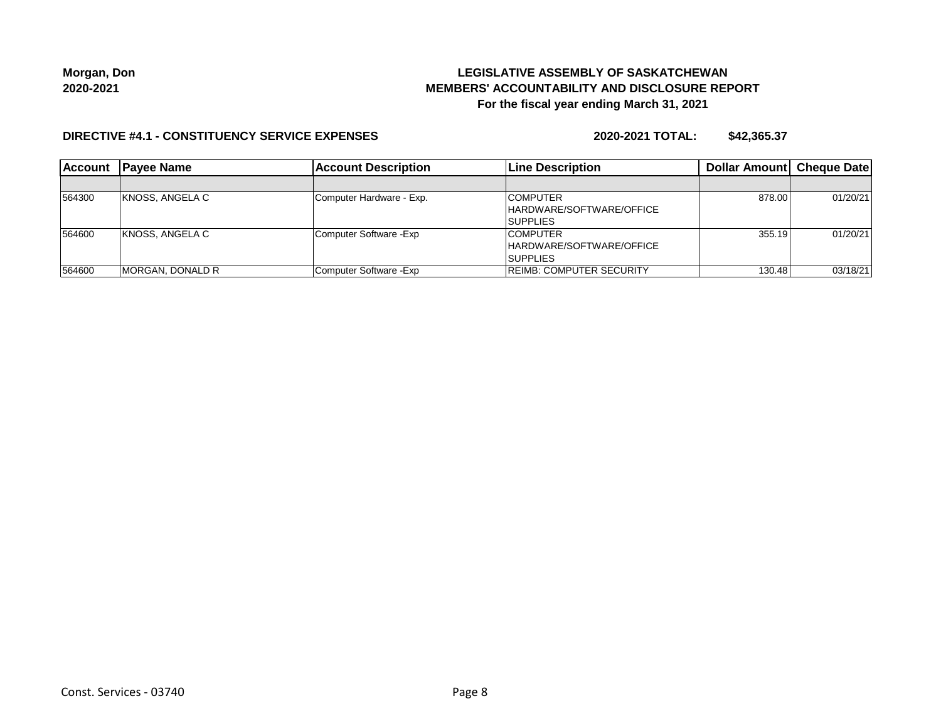## **LEGISLATIVE ASSEMBLY OF SASKATCHEWAN MEMBERS' ACCOUNTABILITY AND DISCLOSURE REPORT For the fiscal year ending March 31, 2021**

#### **DIRECTIVE #4.1 - CONSTITUENCY SERVICE EXPENSES**

| <b>Account</b> | <b>IPavee Name</b>       | <b>Account Description</b> | <b>ILine Description</b>                                       | <b>Dollar Amountl Cheque Date</b> |          |
|----------------|--------------------------|----------------------------|----------------------------------------------------------------|-----------------------------------|----------|
|                |                          |                            |                                                                |                                   |          |
| 564300         | KNOSS, ANGELA C          | Computer Hardware - Exp.   | <b>COMPUTER</b><br>HARDWARE/SOFTWARE/OFFICE<br><b>SUPPLIES</b> | 878.00                            | 01/20/21 |
| 564600         | IKNOSS, ANGELA C         | Computer Software - Exp    | <b>COMPUTER</b><br>HARDWARE/SOFTWARE/OFFICE<br><b>SUPPLIES</b> | 355.19                            | 01/20/21 |
| 564600         | <b>IMORGAN, DONALD R</b> | Computer Software - Exp    | <b>REIMB: COMPUTER SECURITY</b>                                | 130.48                            | 03/18/21 |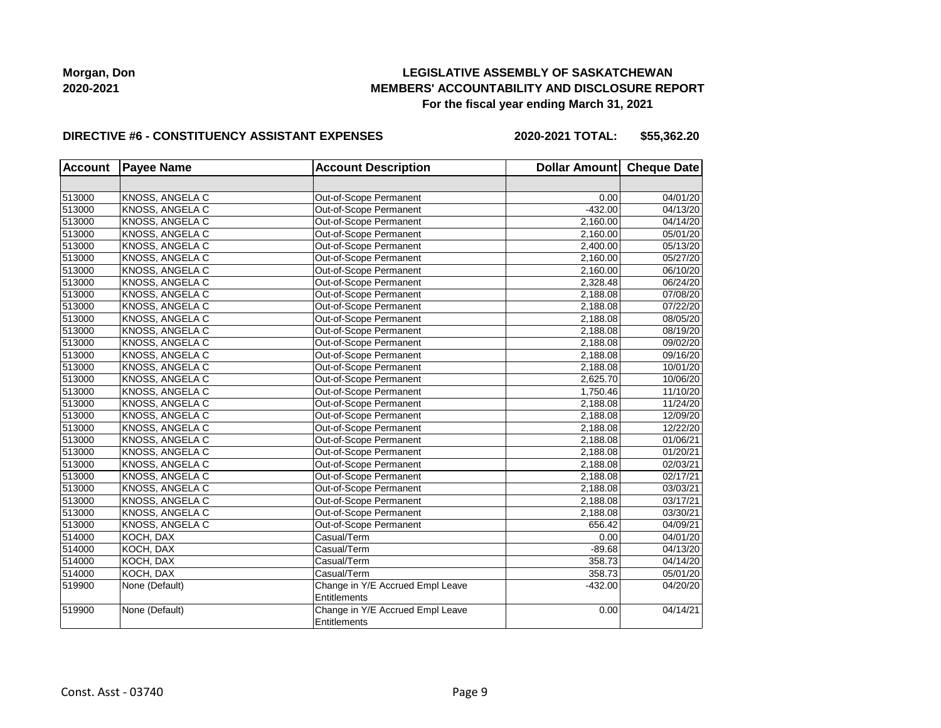### **LEGISLATIVE ASSEMBLY OF SASKATCHEWAN MEMBERS' ACCOUNTABILITY AND DISCLOSURE REPORT For the fiscal year ending March 31, 2021**

#### **DIRECTIVE #6 - CONSTITUENCY ASSISTANT EXPENSES**

**2020-2021 TOTAL: \$55,362.20**

| <b>Account</b> | <b>Payee Name</b>      | <b>Account Description</b>                       | Dollar Amount Cheque Date |          |
|----------------|------------------------|--------------------------------------------------|---------------------------|----------|
|                |                        |                                                  |                           |          |
| 513000         | KNOSS, ANGELA C        | Out-of-Scope Permanent                           | 0.00                      | 04/01/20 |
| 513000         | KNOSS, ANGELA C        | Out-of-Scope Permanent                           | $-432.00$                 | 04/13/20 |
| 513000         | KNOSS, ANGELA C        | Out-of-Scope Permanent                           | 2,160.00                  | 04/14/20 |
| 513000         | KNOSS, ANGELA C        | Out-of-Scope Permanent                           | 2,160.00                  | 05/01/20 |
| 513000         | KNOSS, ANGELA C        | Out-of-Scope Permanent                           | 2,400.00                  | 05/13/20 |
| 513000         | KNOSS, ANGELA C        | Out-of-Scope Permanent                           | 2,160.00                  | 05/27/20 |
| 513000         | KNOSS, ANGELA C        | Out-of-Scope Permanent                           | 2,160.00                  | 06/10/20 |
| 513000         | KNOSS, ANGELA C        | Out-of-Scope Permanent                           | 2,328.48                  | 06/24/20 |
| 513000         | KNOSS, ANGELA C        | Out-of-Scope Permanent                           | 2,188.08                  | 07/08/20 |
| 513000         | <b>KNOSS, ANGELA C</b> | Out-of-Scope Permanent                           | 2,188.08                  | 07/22/20 |
| 513000         | KNOSS, ANGELA C        | Out-of-Scope Permanent                           | 2,188.08                  | 08/05/20 |
| 513000         | KNOSS, ANGELA C        | Out-of-Scope Permanent                           | 2,188.08                  | 08/19/20 |
| 513000         | KNOSS, ANGELA C        | Out-of-Scope Permanent                           | 2,188.08                  | 09/02/20 |
| 513000         | KNOSS, ANGELA C        | Out-of-Scope Permanent                           | 2,188.08                  | 09/16/20 |
| 513000         | KNOSS, ANGELA C        | Out-of-Scope Permanent                           | 2,188.08                  | 10/01/20 |
| 513000         | KNOSS, ANGELA C        | Out-of-Scope Permanent                           | 2,625.70                  | 10/06/20 |
| 513000         | KNOSS, ANGELA C        | Out-of-Scope Permanent                           | 1,750.46                  | 11/10/20 |
| 513000         | KNOSS, ANGELA C        | Out-of-Scope Permanent                           | 2,188.08                  | 11/24/20 |
| 513000         | KNOSS, ANGELA C        | Out-of-Scope Permanent                           | 2,188.08                  | 12/09/20 |
| 513000         | KNOSS, ANGELA C        | Out-of-Scope Permanent                           | 2,188.08                  | 12/22/20 |
| 513000         | KNOSS, ANGELA C        | Out-of-Scope Permanent                           | 2,188.08                  | 01/06/21 |
| 513000         | KNOSS, ANGELA C        | Out-of-Scope Permanent                           | 2,188.08                  | 01/20/21 |
| 513000         | KNOSS, ANGELA C        | Out-of-Scope Permanent                           | 2,188.08                  | 02/03/21 |
| 513000         | KNOSS, ANGELA C        | Out-of-Scope Permanent                           | 2,188.08                  | 02/17/21 |
| 513000         | KNOSS, ANGELA C        | Out-of-Scope Permanent                           | 2,188.08                  | 03/03/21 |
| 513000         | KNOSS, ANGELA C        | Out-of-Scope Permanent                           | 2,188.08                  | 03/17/21 |
| 513000         | KNOSS, ANGELA C        | Out-of-Scope Permanent                           | 2,188.08                  | 03/30/21 |
| 513000         | KNOSS, ANGELA C        | Out-of-Scope Permanent                           | 656.42                    | 04/09/21 |
| 514000         | KOCH, DAX              | Casual/Term                                      | 0.00                      | 04/01/20 |
| 514000         | KOCH, DAX              | Casual/Term                                      | $-89.68$                  | 04/13/20 |
| 514000         | KOCH, DAX              | Casual/Term                                      | 358.73                    | 04/14/20 |
| 514000         | KOCH, DAX              | Casual/Term                                      | 358.73                    | 05/01/20 |
| 519900         | None (Default)         | Change in Y/E Accrued Empl Leave<br>Entitlements | $-432.00$                 | 04/20/20 |
| 519900         | None (Default)         | Change in Y/E Accrued Empl Leave<br>Entitlements | 0.00                      | 04/14/21 |